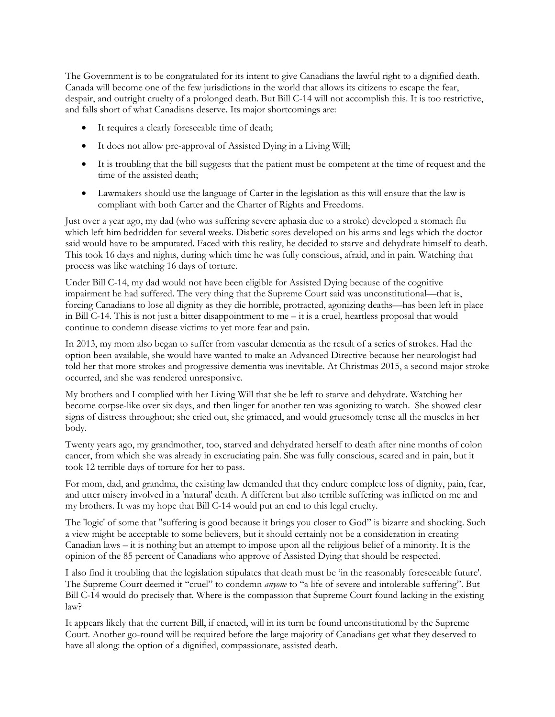The Government is to be congratulated for its intent to give Canadians the lawful right to a dignified death. Canada will become one of the few jurisdictions in the world that allows its citizens to escape the fear, despair, and outright cruelty of a prolonged death. But Bill C-14 will not accomplish this. It is too restrictive, and falls short of what Canadians deserve. Its major shortcomings are:

- It requires a clearly foreseeable time of death;
- It does not allow pre-approval of Assisted Dying in a Living Will;
- It is troubling that the bill suggests that the patient must be competent at the time of request and the time of the assisted death;
- Lawmakers should use the language of Carter in the legislation as this will ensure that the law is compliant with both Carter and the Charter of Rights and Freedoms.

Just over a year ago, my dad (who was suffering severe aphasia due to a stroke) developed a stomach flu which left him bedridden for several weeks. Diabetic sores developed on his arms and legs which the doctor said would have to be amputated. Faced with this reality, he decided to starve and dehydrate himself to death. This took 16 days and nights, during which time he was fully conscious, afraid, and in pain. Watching that process was like watching 16 days of torture.

Under Bill C-14, my dad would not have been eligible for Assisted Dying because of the cognitive impairment he had suffered. The very thing that the Supreme Court said was unconstitutional—that is, forcing Canadians to lose all dignity as they die horrible, protracted, agonizing deaths—has been left in place in Bill C-14. This is not just a bitter disappointment to me – it is a cruel, heartless proposal that would continue to condemn disease victims to yet more fear and pain.

In 2013, my mom also began to suffer from vascular dementia as the result of a series of strokes. Had the option been available, she would have wanted to make an Advanced Directive because her neurologist had told her that more strokes and progressive dementia was inevitable. At Christmas 2015, a second major stroke occurred, and she was rendered unresponsive.

My brothers and I complied with her Living Will that she be left to starve and dehydrate. Watching her become corpse-like over six days, and then linger for another ten was agonizing to watch. She showed clear signs of distress throughout; she cried out, she grimaced, and would gruesomely tense all the muscles in her body.

Twenty years ago, my grandmother, too, starved and dehydrated herself to death after nine months of colon cancer, from which she was already in excruciating pain. She was fully conscious, scared and in pain, but it took 12 terrible days of torture for her to pass.

For mom, dad, and grandma, the existing law demanded that they endure complete loss of dignity, pain, fear, and utter misery involved in a 'natural' death. A different but also terrible suffering was inflicted on me and my brothers. It was my hope that Bill C-14 would put an end to this legal cruelty.

The 'logic' of some that "suffering is good because it brings you closer to God" is bizarre and shocking. Such a view might be acceptable to some believers, but it should certainly not be a consideration in creating Canadian laws – it is nothing but an attempt to impose upon all the religious belief of a minority. It is the opinion of the 85 percent of Canadians who approve of Assisted Dying that should be respected.

I also find it troubling that the legislation stipulates that death must be 'in the reasonably foreseeable future'. The Supreme Court deemed it "cruel" to condemn *anyone* to "a life of severe and intolerable suffering". But Bill C-14 would do precisely that. Where is the compassion that Supreme Court found lacking in the existing law?

It appears likely that the current Bill, if enacted, will in its turn be found unconstitutional by the Supreme Court. Another go-round will be required before the large majority of Canadians get what they deserved to have all along: the option of a dignified, compassionate, assisted death.